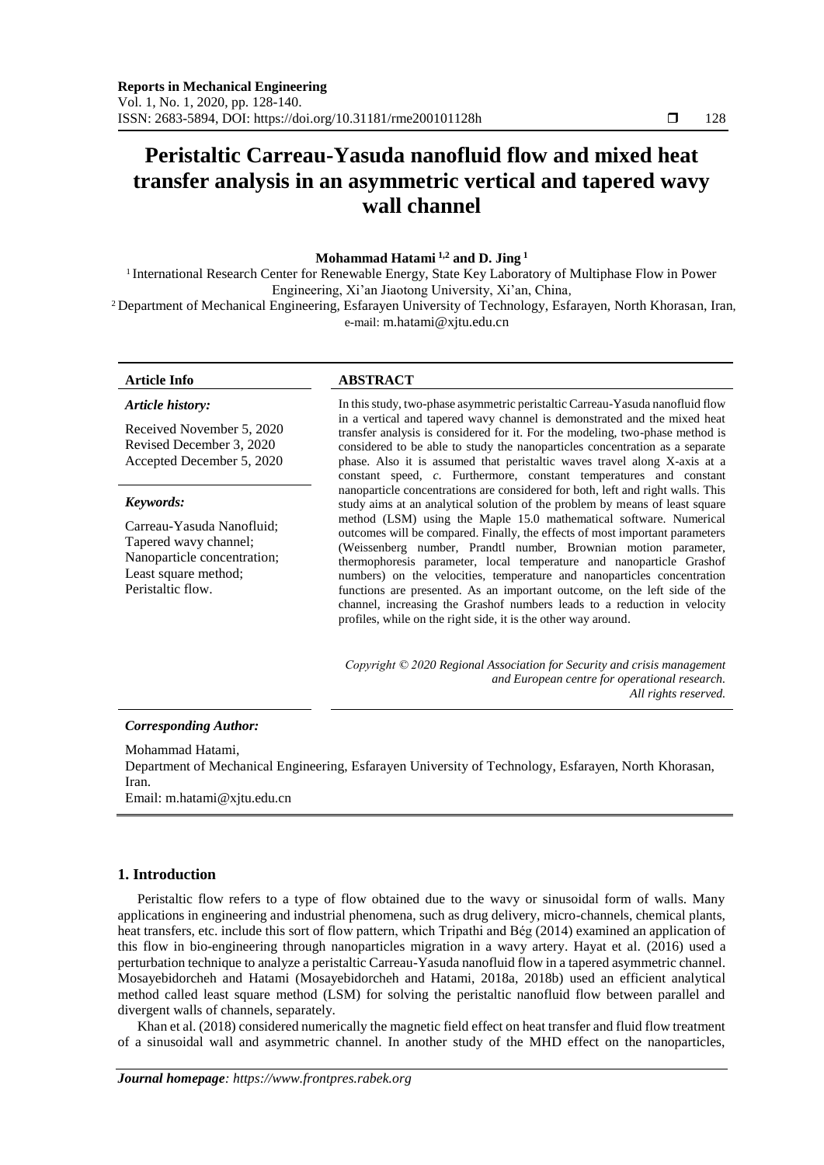# **Peristaltic Carreau-Yasuda nanofluid flow and mixed heat transfer analysis in an asymmetric vertical and tapered wavy wall channel**

# **Mohammad Hatami 1,2 and D. Jing <sup>1</sup>**

1 International Research Center for Renewable Energy, State Key Laboratory of Multiphase Flow in Power Engineering, Xi'an Jiaotong University, Xi'an, China, <sup>2</sup>Department of Mechanical Engineering, Esfarayen University of Technology, Esfarayen, North Khorasan, Iran,

e-mail: m.hatami@xjtu.edu.cn

#### *Article history:*

Received November 5, 2020 Revised December 3, 2020 Accepted December 5, 2020

#### *Keywords:*

Carreau-Yasuda Nanofluid; Tapered wavy channel; Nanoparticle concentration; Least square method; Peristaltic flow.

#### **Article Info ABSTRACT**

In this study, two-phase asymmetric peristaltic Carreau-Yasuda nanofluid flow in a vertical and tapered wavy channel is demonstrated and the mixed heat transfer analysis is considered for it. For the modeling, two-phase method is considered to be able to study the nanoparticles concentration as a separate phase. Also it is assumed that peristaltic waves travel along X-axis at a constant speed, *c*. Furthermore, constant temperatures and constant nanoparticle concentrations are considered for both, left and right walls. This study aims at an analytical solution of the problem by means of least square method (LSM) using the Maple 15.0 mathematical software. Numerical outcomes will be compared. Finally, the effects of most important parameters (Weissenberg number, Prandtl number, Brownian motion parameter, thermophoresis parameter, local temperature and nanoparticle Grashof numbers) on the velocities, temperature and nanoparticles concentration functions are presented. As an important outcome, on the left side of the channel, increasing the Grashof numbers leads to a reduction in velocity profiles, while on the right side, it is the other way around.

*Copyright © 2020 Regional Association for Security and crisis management and European centre for operational research. All rights reserved.*

#### *Corresponding Author:*

# Mohammad Hatami,

Department of Mechanical Engineering, Esfarayen University of Technology, Esfarayen, North Khorasan, Iran.

Email: m.hatami@xjtu.edu.cn

### **1. Introduction**

Peristaltic flow refers to a type of flow obtained due to the wavy or sinusoidal form of walls. Many applications in engineering and industrial phenomena, such as drug delivery, micro-channels, chemical plants, heat transfers, etc. include this sort of flow pattern, which Tripathi and Bég (2014) examined an application of this flow in bio-engineering through nanoparticles migration in a wavy artery. Hayat et al. (2016) used a perturbation technique to analyze a peristaltic Carreau-Yasuda nanofluid flow in a tapered asymmetric channel. Mosayebidorcheh and Hatami (Mosayebidorcheh and Hatami, 2018a, 2018b) used an efficient analytical method called least square method (LSM) for solving the peristaltic nanofluid flow between parallel and divergent walls of channels, separately.

Khan et al. (2018) considered numerically the magnetic field effect on heat transfer and fluid flow treatment of a sinusoidal wall and asymmetric channel. In another study of the MHD effect on the nanoparticles,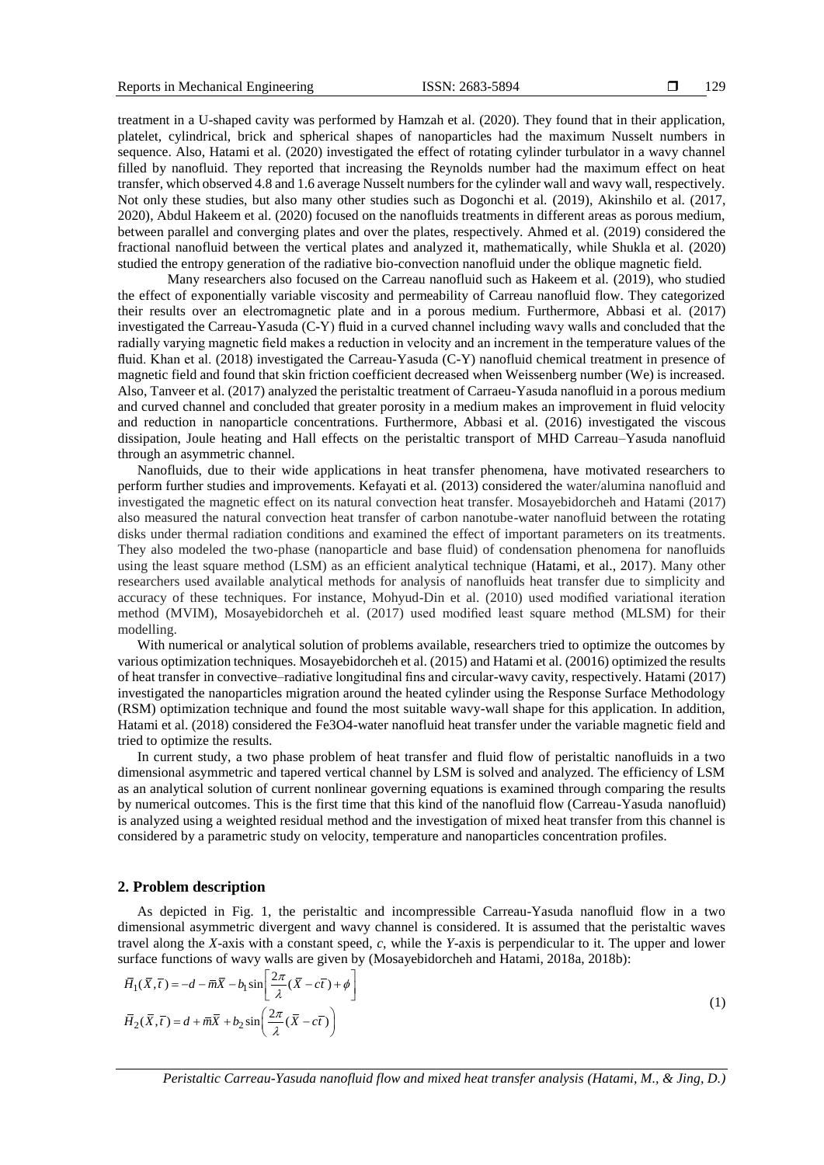treatment in a U-shaped cavity was performed by Hamzah et al. (2020). They found that in their application, platelet, cylindrical, brick and spherical shapes of nanoparticles had the maximum Nusselt numbers in sequence. Also, Hatami et al. (2020) investigated the effect of rotating cylinder turbulator in a wavy channel filled by nanofluid. They reported that increasing the Reynolds number had the maximum effect on heat transfer, which observed 4.8 and 1.6 average Nusselt numbers for the cylinder wall and wavy wall, respectively. Not only these studies, but also many other studies such as Dogonchi et al. (2019), Akinshilo et al. (2017, 2020), Abdul Hakeem et al. (2020) focused on the nanofluids treatments in different areas as porous medium, between parallel and converging plates and over the plates, respectively. Ahmed et al. (2019) considered the fractional nanofluid between the vertical plates and analyzed it, mathematically, while Shukla et al. (2020) studied the entropy generation of the radiative bio-convection nanofluid under the oblique magnetic field.

Many researchers also focused on the Carreau nanofluid such as Hakeem et al. (2019), who studied the effect of exponentially variable viscosity and permeability of Carreau nanofluid flow. They categorized their results over an electromagnetic plate and in a porous medium. Furthermore, Abbasi et al. (2017) investigated the Carreau-Yasuda (C-Y) fluid in a curved channel including wavy walls and concluded that the radially varying magnetic field makes a reduction in velocity and an increment in the temperature values of the fluid. Khan et al. (2018) investigated the Carreau-Yasuda (C-Y) nanofluid chemical treatment in presence of magnetic field and found that skin friction coefficient decreased when Weissenberg number (We) is increased. Also, Tanveer et al. (2017) analyzed the peristaltic treatment of Carraeu-Yasuda nanofluid in a porous medium and curved channel and concluded that greater porosity in a medium makes an improvement in fluid velocity and reduction in nanoparticle concentrations. Furthermore, Abbasi et al. (2016) investigated the viscous dissipation, Joule heating and Hall effects on the peristaltic transport of MHD Carreau–Yasuda nanofluid through an asymmetric channel.

Nanofluids, due to their wide applications in heat transfer phenomena, have motivated researchers to perform further studies and improvements. Kefayati et al. (2013) considered the water/alumina nanofluid and investigated the magnetic effect on its natural convection heat transfer. Mosayebidorcheh and Hatami (2017) also measured the natural convection heat transfer of carbon nanotube-water nanofluid between the rotating disks under thermal radiation conditions and examined the effect of important parameters on its treatments. They also modeled the two-phase (nanoparticle and base fluid) of condensation phenomena for nanofluids using the least square method (LSM) as an efficient analytical technique (Hatami, et al., 2017). Many other researchers used available analytical methods for analysis of nanofluids heat transfer due to simplicity and accuracy of these techniques. For instance, Mohyud-Din et al. (2010) used modified variational iteration method (MVIM), Mosayebidorcheh et al. (2017) used modified least square method (MLSM) for their modelling.

With numerical or analytical solution of problems available, researchers tried to optimize the outcomes by various optimization techniques. Mosayebidorcheh et al. (2015) and Hatami et al. (20016) optimized the results of heat transfer in convective–radiative longitudinal fins and circular-wavy cavity, respectively. Hatami (2017) investigated the nanoparticles migration around the heated cylinder using the Response Surface Methodology (RSM) optimization technique and found the most suitable wavy-wall shape for this application. In addition, Hatami et al. (2018) considered the Fe3O4-water nanofluid heat transfer under the variable magnetic field and tried to optimize the results.

In current study, a two phase problem of heat transfer and fluid flow of peristaltic nanofluids in a two dimensional asymmetric and tapered vertical channel by LSM is solved and analyzed. The efficiency of LSM as an analytical solution of current nonlinear governing equations is examined through comparing the results by numerical outcomes. This is the first time that this kind of the nanofluid flow (Carreau-Yasuda nanofluid) is analyzed using a weighted residual method and the investigation of mixed heat transfer from this channel is considered by a parametric study on velocity, temperature and nanoparticles concentration profiles.

#### **2. Problem description**

As depicted in Fig. 1, the peristaltic and incompressible Carreau-Yasuda nanofluid flow in a two dimensional asymmetric divergent and wavy channel is considered. It is assumed that the peristaltic waves travel along the *X*-axis with a constant speed, *c*, while the *Y*-axis is perpendicular to it. The upper and lower

surface functions of wavy walls are given by (Mosayebidorcheh and Hatami, 2018a, 2018b):  
\n
$$
\overline{H}_1(\overline{X}, \overline{t}) = -d - \overline{m}\overline{X} - b_1 \sin\left[\frac{2\pi}{\lambda}(\overline{X} - c\overline{t}) + \phi\right]
$$
\n
$$
\overline{H}_2(\overline{X}, \overline{t}) = d + \overline{m}\overline{X} + b_2 \sin\left(\frac{2\pi}{\lambda}(\overline{X} - c\overline{t})\right)
$$
\n(1)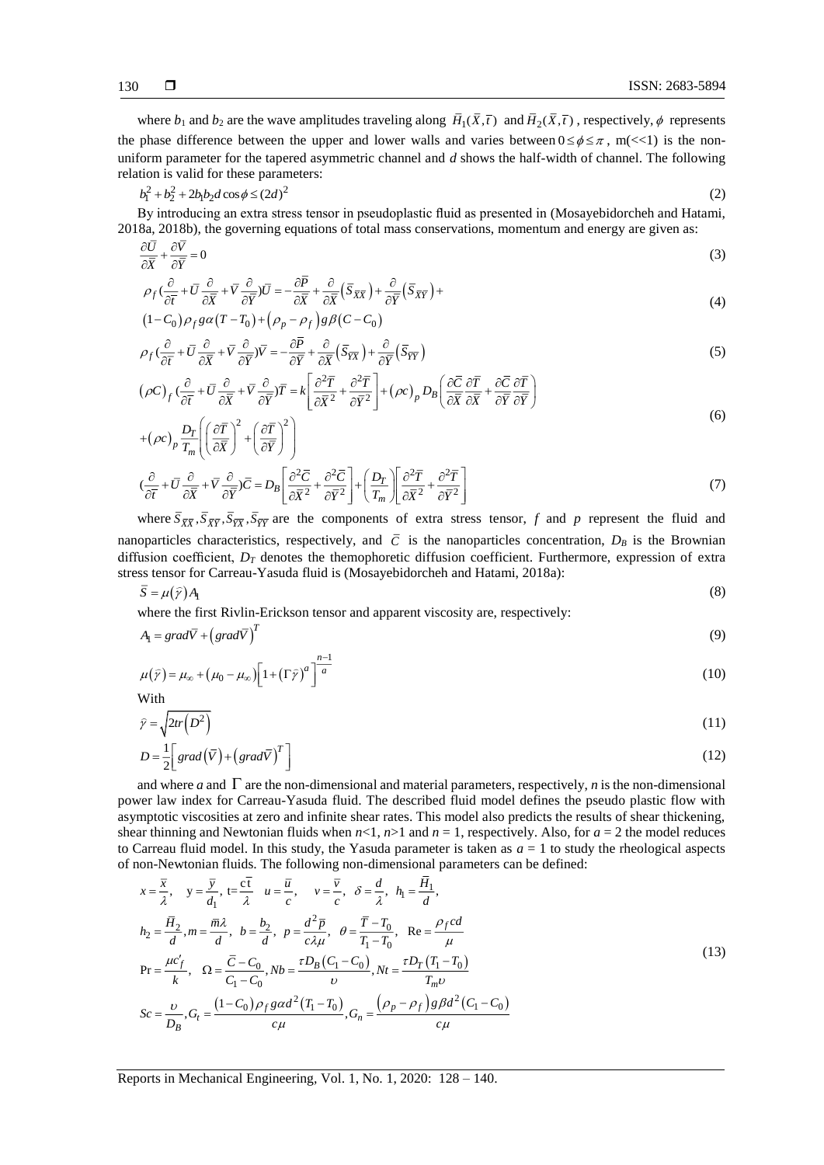where  $b_1$  and  $b_2$  are the wave amplitudes traveling along  $H_1(X, \overline{t})$  and  $H_2(X, \overline{t})$ , respectively,  $\phi$  represents the phase difference between the upper and lower walls and varies between  $0 \le \phi \le \pi$ , m(<<1) is the nonuniform parameter for the tapered asymmetric channel and *d* shows the half-width of channel. The following relation is valid for these parameters:

$$
b_1^2 + b_2^2 + 2b_1b_2d\cos\phi \le (2d)^2
$$
 (2)

By introducing an extra stress tensor in pseudoplastic fluid as presented in (Mosayebidorcheh and Hatami, 2018a, 2018b), the governing equations of total mass conservations, momentum and energy are given as:

$$
\frac{\partial \overline{U}}{\partial \overline{X}} + \frac{\partial \overline{V}}{\partial \overline{Y}} = 0
$$
\n(3)

$$
\rho_f \left( \frac{\partial}{\partial \overline{t}} + \overline{U} \frac{\partial}{\partial \overline{X}} + \overline{V} \frac{\partial}{\partial \overline{Y}} \right) \overline{U} = -\frac{\partial \overline{P}}{\partial \overline{X}} + \frac{\partial}{\partial \overline{X}} \left( \overline{S}_{\overline{X}} \overline{X} \right) + \frac{\partial}{\partial \overline{Y}} \left( \overline{S}_{\overline{X}} \overline{Y} \right) + \tag{4}
$$

$$
(1-C_0)\rho_f g\alpha (T-T_0) + (\rho_p - \rho_f)g\beta (C-C_0)
$$
\n
$$
\frac{\partial}{\partial r} = \frac{\partial}{\partial r} = \frac{\partial}{\partial r} = \frac{\partial}{\partial r} \frac{\partial}{\partial r} = \frac{\partial}{\partial r} \frac{\partial}{\partial r} = 0
$$

$$
\rho_f \left( \frac{\partial}{\partial \overline{t}} + \overline{U} \frac{\partial}{\partial \overline{X}} + \overline{V} \frac{\partial}{\partial \overline{Y}} \right) \overline{V} = -\frac{\partial P}{\partial \overline{Y}} + \frac{\partial}{\partial \overline{X}} \left( \overline{S}_{\overline{Y} \overline{X}} \right) + \frac{\partial}{\partial \overline{Y}} \left( \overline{S}_{\overline{Y} \overline{Y}} \right)
$$
(5)

$$
\left(\rho C\right)_f \left(\frac{\partial}{\partial \overline{t}} + \overline{U} \frac{\partial}{\partial \overline{X}} + \overline{V} \frac{\partial}{\partial \overline{Y}}\right) \overline{T} = k \left[\frac{\partial^2 \overline{T}}{\partial \overline{X}^2} + \frac{\partial^2 \overline{T}}{\partial \overline{Y}^2}\right] + \left(\rho c\right)_p D_B \left(\frac{\partial \overline{C}}{\partial \overline{X}} \frac{\partial \overline{T}}{\partial \overline{X}} + \frac{\partial \overline{C}}{\partial \overline{Y}} \frac{\partial \overline{T}}{\partial \overline{Y}}\right)
$$
\n
$$
\left(\frac{\partial}{\partial \overline{X}} + \frac{\partial \overline{C}}{\partial \overline{Y}}\right) \tag{6}
$$

$$
+(\rho c)_p \frac{D_T}{T_m} \left( \left( \frac{\partial \overline{T}}{\partial \overline{X}} \right)^2 + \left( \frac{\partial \overline{T}}{\partial \overline{Y}} \right)^2 \right)
$$

$$
\left(\frac{\partial}{\partial \overline{t}} + \overline{U} \frac{\partial}{\partial \overline{X}} + \overline{V} \frac{\partial}{\partial \overline{Y}}\right) \overline{C} = D_B \left[\frac{\partial^2 \overline{C}}{\partial \overline{X}^2} + \frac{\partial^2 \overline{C}}{\partial \overline{Y}^2}\right] + \left(\frac{D_T}{T_m}\right) \left[\frac{\partial^2 \overline{T}}{\partial \overline{X}^2} + \frac{\partial^2 \overline{T}}{\partial \overline{Y}^2}\right]
$$
(7)

where  $S_{\overline{X\overline{X}}}, S_{\overline{X\overline{Y}}}$ ,  $S_{\overline{Y\overline{X}}}$  are the components of extra stress tensor, *f* and *p* represent the fluid and nanoparticles characteristics, respectively, and  $\bar{C}$  is the nanoparticles concentration,  $D_B$  is the Brownian diffusion coefficient, *D<sup>T</sup>* denotes the themophoretic diffusion coefficient. Furthermore, expression of extra stress tensor for Carreau-Yasuda fluid is (Mosayebidorcheh and Hatami, 2018a):

$$
\overline{S} = \mu(\hat{y})A_1 \tag{8}
$$

where the first Rivlin-Erickson tensor and apparent viscosity are, respectively:

$$
A_{\rm I} = \text{grad}\overline{V} + \left(\text{grad}\overline{V}\right)^T \tag{9}
$$

$$
\mu(\hat{\gamma}) = \mu_{\infty} + (\mu_0 - \mu_{\infty}) \left[ 1 + (\Gamma \hat{\gamma})^a \right]^{\frac{n-1}{a}}
$$
\n(10)

With

$$
\hat{\gamma} = \sqrt{2tr(D^2)}
$$
\n
$$
1\begin{bmatrix} 1 & \sqrt{2} \\ 0 & \sqrt{2} \end{bmatrix}
$$
\n
$$
(11)
$$

$$
D = \frac{1}{2} \left[ \text{grad} \left( \overline{V} \right) + \left( \text{grad} \overline{V} \right)^{T} \right] \tag{12}
$$

and where  $a$  and  $\Gamma$  are the non-dimensional and material parameters, respectively,  $n$  is the non-dimensional power law index for Carreau-Yasuda fluid. The described fluid model defines the pseudo plastic flow with asymptotic viscosities at zero and infinite shear rates. This model also predicts the results of shear thickening, shear thinning and Newtonian fluids when  $n<1$ ,  $n>1$  and  $n=1$ , respectively. Also, for  $a=2$  the model reduces to Carreau fluid model. In this study, the Yasuda parameter is taken as  $a = 1$  to study the rheological aspects of non-Newtonian fluids. The following non-dimensional parameters can be defined:

$$
x = \frac{\overline{x}}{\lambda}, \quad y = \frac{\overline{y}}{d_1}, \quad t = \frac{c\overline{t}}{\lambda}, \quad u = \frac{\overline{u}}{c}, \quad v = \frac{\overline{v}}{c}, \quad \delta = \frac{d}{\lambda}, \quad h_1 = \frac{\overline{H}_1}{d},
$$
\n
$$
h_2 = \frac{\overline{H}_2}{d}, m = \frac{\overline{m}\lambda}{d}, \quad b = \frac{b_2}{d}, \quad p = \frac{d^2\overline{p}}{c\lambda\mu}, \quad \theta = \frac{\overline{T} - T_0}{T_1 - T_0}, \quad \text{Re} = \frac{\rho_f c d}{\mu}
$$
\n
$$
\text{Pr} = \frac{\mu c'_f}{k}, \quad \Omega = \frac{\overline{c} - C_0}{C_1 - C_0}, \quad Nb = \frac{\tau D_B (C_1 - C_0)}{\nu}, \quad Nt = \frac{\tau D_T (T_1 - T_0)}{T_m \nu}
$$
\n
$$
Sc = \frac{\nu}{D_B}, G_t = \frac{(1 - C_0)\rho_f g \alpha d^2 (T_1 - T_0)}{c\mu}, G_n = \frac{(\rho_p - \rho_f) g \beta d^2 (C_1 - C_0)}{c\mu}
$$
\n(13)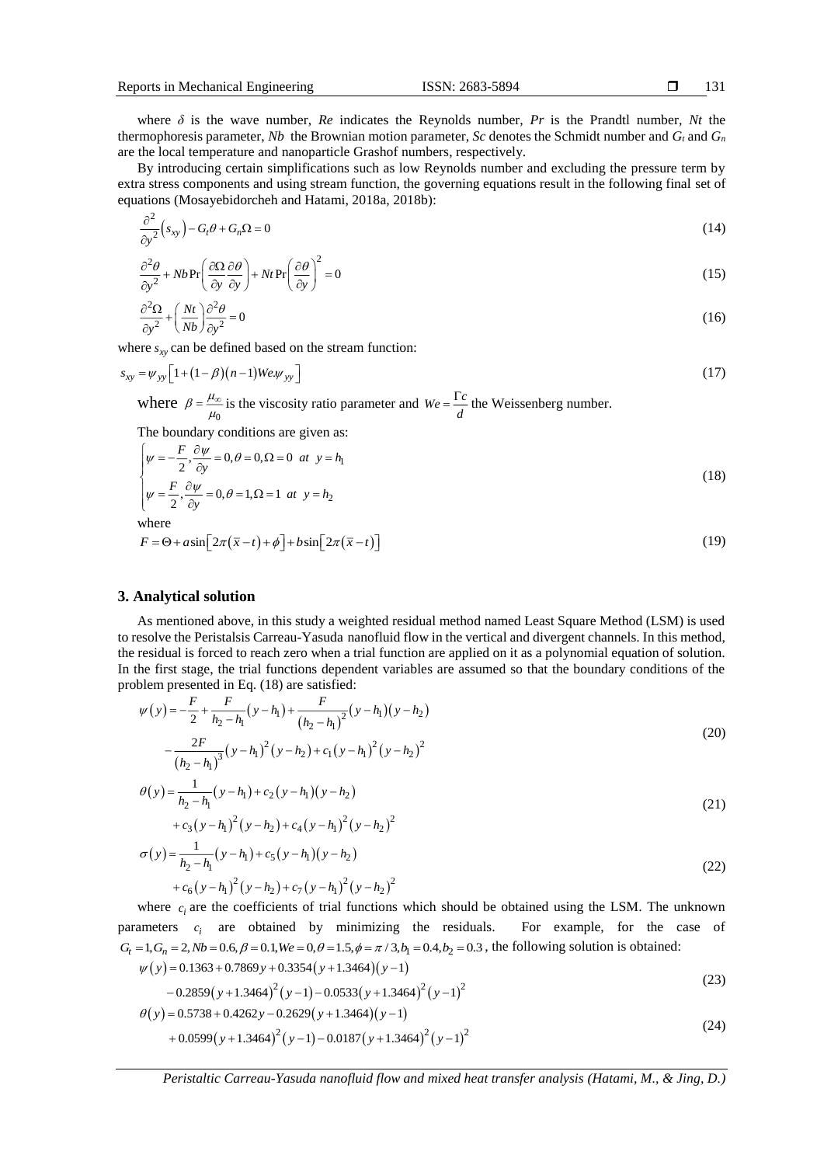where  $\delta$  is the wave number, *Re* indicates the Reynolds number, *Pr* is the Prandtl number, *Nt* the thermophoresis parameter, *Nb* the Brownian motion parameter, *Sc* denotes the Schmidt number and  $G_t$  and  $G_n$ are the local temperature and nanoparticle Grashof numbers, respectively.

By introducing certain simplifications such as low Reynolds number and excluding the pressure term by extra stress components and using stream function, the governing equations result in the following final set of equations (Mosayebidorcheh and Hatami, 2018a, 2018b):

$$
\frac{\partial^2}{\partial y^2}(s_{xy}) - G_t \theta + G_n \Omega = 0 \tag{14}
$$

$$
\frac{\partial^2 \theta}{\partial y^2} + Nb \Pr\left(\frac{\partial \Omega}{\partial y} \frac{\partial \theta}{\partial y}\right) + Nt \Pr\left(\frac{\partial \theta}{\partial y}\right)^2 = 0
$$
\n(15)

$$
\frac{\partial^2 \Omega}{\partial y^2} + \left(\frac{Nt}{Nb}\right) \frac{\partial^2 \theta}{\partial y^2} = 0
$$
\n(16)

where  $s_{xy}$  can be defined based on the stream function:

$$
s_{xy} = \psi_{yy} \left[ 1 + (1 - \beta)(n - 1)W e \psi_{yy} \right]
$$
 (17)

where  $\beta = \frac{\mu_{\infty}}{\mu_0}$  $\beta = \frac{\mu_{\text{c}}}{\mu_{\text{c}}}$  $=\frac{\mu_{\infty}}{\mu_0}$  is the viscosity ratio parameter and  $We = \frac{1}{d}$  $=\frac{\Gamma c}{t}$  the Weissenberg number.

The boundary conditions are given as:

$$
\begin{cases}\n\psi = -\frac{F}{2}, \frac{\partial \psi}{\partial y} = 0, \theta = 0, \Omega = 0 \text{ at } y = h_1 \\
\psi = \frac{F}{2}, \frac{\partial \psi}{\partial y} = 0, \theta = 1, \Omega = 1 \text{ at } y = h_2\n\end{cases}
$$
\n(18)

where

$$
F = \Theta + a\sin\left[2\pi(\bar{x} - t) + \phi\right] + b\sin\left[2\pi(\bar{x} - t)\right] \tag{19}
$$

# **3. Analytical solution**

As mentioned above, in this study a weighted residual method named Least Square Method (LSM) is used to resolve the Peristalsis Carreau-Yasuda nanofluid flow in the vertical and divergent channels. In this method, the residual is forced to reach zero when a trial function are applied on it as a polynomial equation of solution. In the first stage, the trial functions dependent variables are assumed so that the boundary conditions of the problem presented in Eq. (18) are satisfied:

$$
\psi(y) = -\frac{F}{2} + \frac{F}{h_2 - h_1} (y - h_1) + \frac{F}{(h_2 - h_1)^2} (y - h_1) (y - h_2)
$$
  

$$
-\frac{2F}{(h_2 - h_1)^3} (y - h_1)^2 (y - h_2) + c_1 (y - h_1)^2 (y - h_2)^2
$$
 (20)

$$
\theta(y) = \frac{1}{h_2 - h_1} (y - h_1) + c_2 (y - h_1) (y - h_2)
$$
  
+  $c_3 (y - h_1)^2 (y - h_2) + c_4 (y - h_1)^2 (y - h_2)^2$   

$$
\sigma(y) = \frac{1}{h_2 - h_1} (y - h_1) + c_5 (y - h_1) (y - h_2)
$$
  
+  $c_6 (y - h_1)^2 (y - h_2) + c_7 (y - h_1)^2 (y - h_2)^2$  (22)

where  $c_i$  are the coefficients of trial functions which should be obtained using the LSM. The unknown parameters  $c_i$  are obtained by minimizing the residuals. For example, for the case of  $G_t = 1, G_n = 2, Nb = 0.6, \beta = 0.1, We = 0, \theta = 1.5, \phi = \pi/3, b_1 = 0.4, b_2 = 0.3$ , the following solution is obtained:

$$
\psi(y) = 0.1363 + 0.7869y + 0.3354(y+1.3464)(y-1)
$$
  
-0.2859(y+1.3464)<sup>2</sup>(y-1)-0.0533(y+1.3464)<sup>2</sup>(y-1)<sup>2</sup> (23)

$$
\theta(y) = 0.5738 + 0.4262y - 0.2629(y + 1.3464)(y - 1) + 0.0599(y + 1.3464)^{2}(y - 1) - 0.0187(y + 1.3464)^{2}(y - 1)^{2}
$$
\n(24)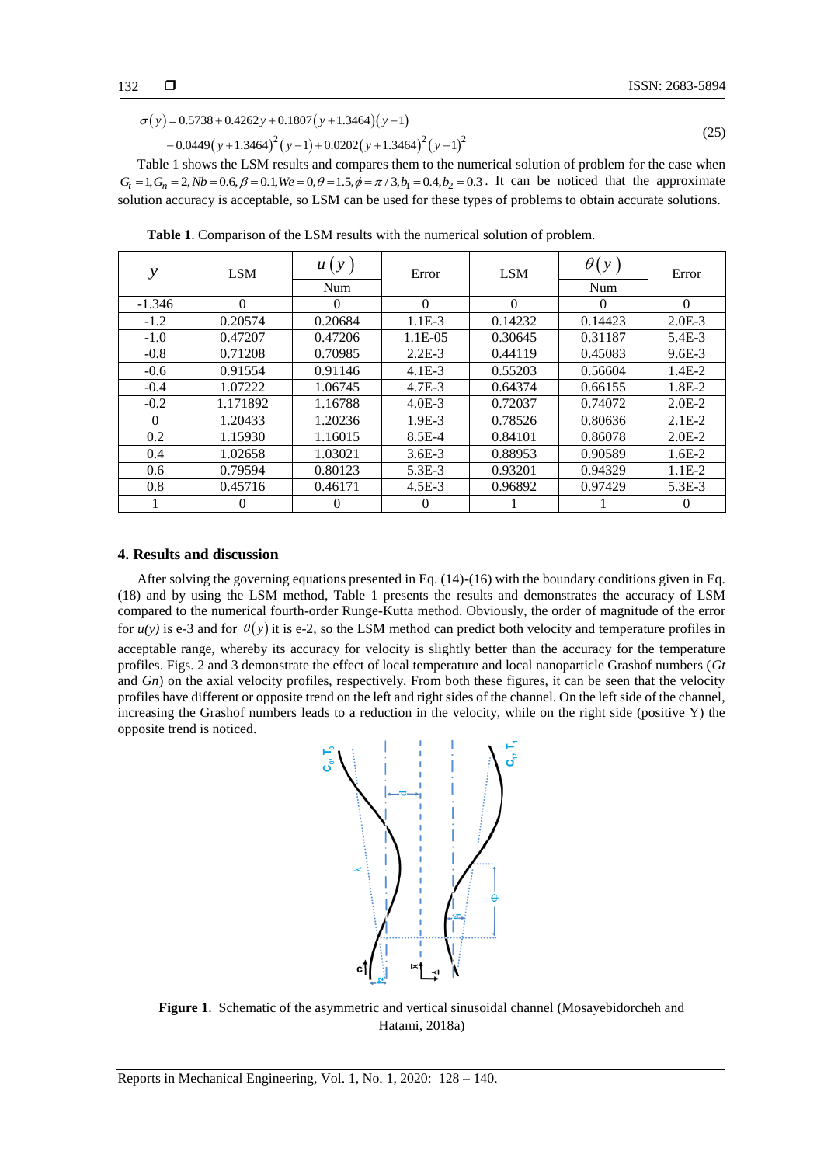$$
\sigma(y) = 0.5738 + 0.4262y + 0.1807(y + 1.3464)(y - 1)
$$
  
- 0.0449(y + 1.3464)<sup>2</sup>(y - 1) + 0.0202(y + 1.3464)<sup>2</sup>(y - 1)<sup>2</sup> (25)

Table 1 shows the LSM results and compares them to the numerical solution of problem for the case when  $G_t = 1, G_n = 2, Nb = 0.6, \beta = 0.1, We = 0, \theta = 1.5, \phi = \pi/3, b_1 = 0.4, b_2 = 0.3$ . It can be noticed that the approximate solution accuracy is acceptable, so LSM can be used for these types of problems to obtain accurate solutions.

| $\mathcal{Y}$ | <b>LSM</b> | u(y)             | Error      | <b>LSM</b> | $\theta(y)$ | Error      |
|---------------|------------|------------------|------------|------------|-------------|------------|
|               |            | Num              |            |            | Num         |            |
| $-1.346$      | $\Omega$   | $\left( \right)$ | $\theta$   | $\Omega$   | 0           | $\Omega$   |
| $-1.2$        | 0.20574    | 0.20684          | $1.1E-3$   | 0.14232    | 0.14423     | $2.0E-3$   |
| $-1.0$        | 0.47207    | 0.47206          | $1.1E-0.5$ | 0.30645    | 0.31187     | 5.4E-3     |
| $-0.8$        | 0.71208    | 0.70985          | $2.2E-3$   | 0.44119    | 0.45083     | $9.6E - 3$ |
| $-0.6$        | 0.91554    | 0.91146          | $4.1E-3$   | 0.55203    | 0.56604     | $1.4E-2$   |
| $-0.4$        | 1.07222    | 1.06745          | $4.7E - 3$ | 0.64374    | 0.66155     | 1.8E-2     |
| $-0.2$        | 1.171892   | 1.16788          | $4.0E - 3$ | 0.72037    | 0.74072     | $2.0E-2$   |
| $\Omega$      | 1.20433    | 1.20236          | $1.9E-3$   | 0.78526    | 0.80636     | $2.1E-2$   |
| 0.2           | 1.15930    | 1.16015          | $8.5E-4$   | 0.84101    | 0.86078     | $2.0E-2$   |
| 0.4           | 1.02658    | 1.03021          | $3.6E - 3$ | 0.88953    | 0.90589     | $1.6E-2$   |
| 0.6           | 0.79594    | 0.80123          | $5.3E-3$   | 0.93201    | 0.94329     | $1.1E-2$   |
| 0.8           | 0.45716    | 0.46171          | $4.5E-3$   | 0.96892    | 0.97429     | $5.3E-3$   |
|               |            | O                | 0          |            |             | $\theta$   |

**Table 1**. Comparison of the LSM results with the numerical solution of problem.

### **4. Results and discussion**

After solving the governing equations presented in Eq. (14)-(16) with the boundary conditions given in Eq. (18) and by using the LSM method, Table 1 presents the results and demonstrates the accuracy of LSM compared to the numerical fourth-order Runge-Kutta method. Obviously, the order of magnitude of the error for  $u(y)$  is e-3 and for  $\theta(y)$  it is e-2, so the LSM method can predict both velocity and temperature profiles in acceptable range, whereby its accuracy for velocity is slightly better than the accuracy for the temperature profiles. Figs. 2 and 3 demonstrate the effect of local temperature and local nanoparticle Grashof numbers (*Gt* and *Gn*) on the axial velocity profiles, respectively. From both these figures, it can be seen that the velocity profiles have different or opposite trend on the left and right sides of the channel. On the left side of the channel, increasing the Grashof numbers leads to a reduction in the velocity, while on the right side (positive Y) the opposite trend is noticed.



**Figure 1**. Schematic of the asymmetric and vertical sinusoidal channel (Mosayebidorcheh and Hatami, 2018a)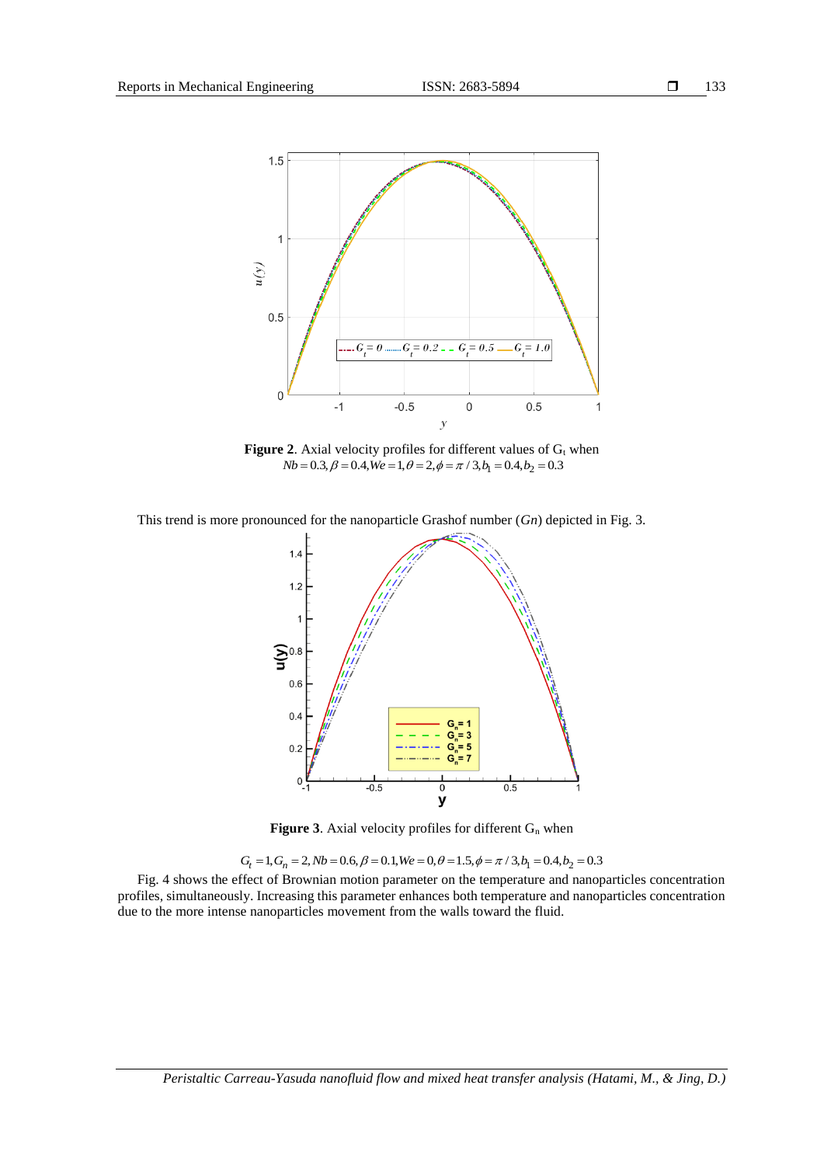

**Figure 2.** Axial velocity profiles for different values of  $G_t$  when  $Nb = 0.3, \beta = 0.4, We = 1, \theta = 2, \phi = \pi / 3, b_1 = 0.4, b_2 = 0.3$ 

This trend is more pronounced for the nanoparticle Grashof number (*Gn*) depicted in Fig. 3.



**Figure 3.** Axial velocity profiles for different  $G_n$  when

 $G_t = 1, G_n = 2, Nb = 0.6, \beta = 0.1, We = 0, \theta = 1.5, \phi = \pi / 3, b_1 = 0.4, b_2 = 0.3$ 

Fig. 4 shows the effect of Brownian motion parameter on the temperature and nanoparticles concentration profiles, simultaneously. Increasing this parameter enhances both temperature and nanoparticles concentration due to the more intense nanoparticles movement from the walls toward the fluid.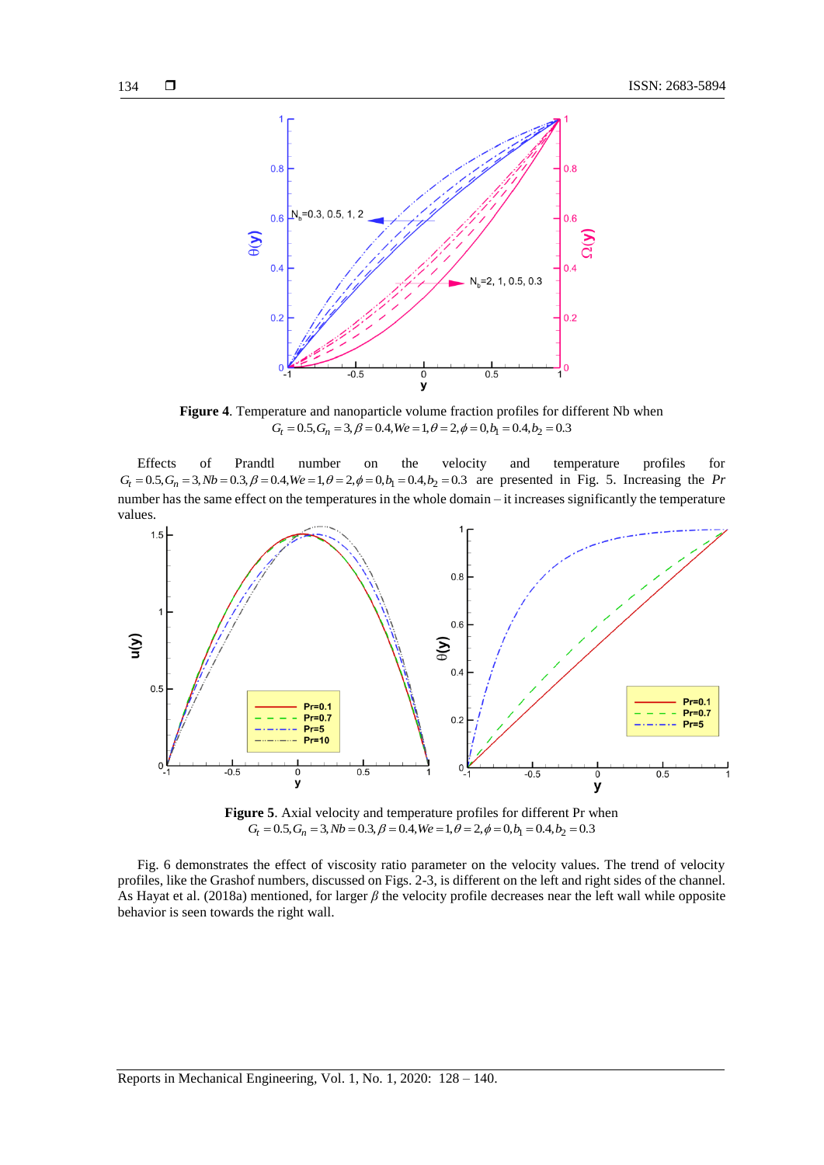

**Figure 4**. Temperature and nanoparticle volume fraction profiles for different Nb when  $G_t = 0.5, G_n = 3, \beta = 0.4, We = 1, \theta = 2, \phi = 0, b_1 = 0.4, b_2 = 0.3$ 

Effects of Prandtl number on the velocity and temperature profiles for  $G_t = 0.5, G_n = 3, Nb = 0.3, \beta = 0.4, We = 1, \theta = 2, \phi = 0, b_1 = 0.4, b_2 = 0.3$  are presented in Fig. 5. Increasing the *Pr* number has the same effect on the temperatures in the whole domain – it increases significantly the temperature values.



**Figure 5**. Axial velocity and temperature profiles for different Pr when  $G_t = 0.5, G_n = 3, Nb = 0.3, \beta = 0.4, We = 1, \theta = 2, \phi = 0, b_1 = 0.4, b_2 = 0.3$ 

Fig. 6 demonstrates the effect of viscosity ratio parameter on the velocity values. The trend of velocity profiles, like the Grashof numbers, discussed on Figs. 2-3, is different on the left and right sides of the channel. As Hayat et al. (2018a) mentioned, for larger *β* the velocity profile decreases near the left wall while opposite behavior is seen towards the right wall.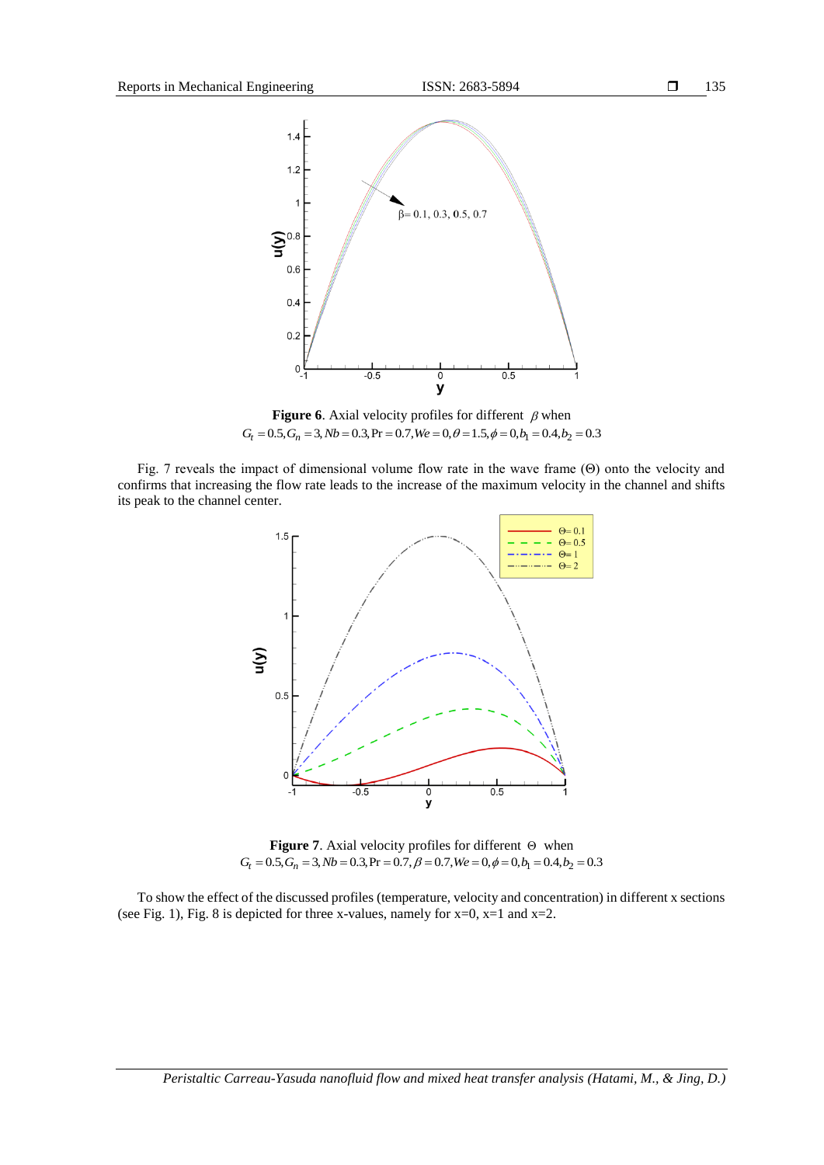

**Figure 6.** Axial velocity profiles for different  $\beta$  when  $G_t = 0.5, G_n = 3, Nb = 0.3, Pr = 0.7, We = 0, \theta = 1.5, \phi = 0, b_1 = 0.4, b_2 = 0.3$ 

Fig. 7 reveals the impact of dimensional volume flow rate in the wave frame (Θ) onto the velocity and confirms that increasing the flow rate leads to the increase of the maximum velocity in the channel and shifts its peak to the channel center.



**Figure** 7. Axial velocity profiles for different  $\Theta$  when  $G_t = 0.5, G_n = 3, Nb = 0.3, Pr = 0.7, \beta = 0.7, We = 0, \phi = 0, b_1 = 0.4, b_2 = 0.3$ 

To show the effect of the discussed profiles (temperature, velocity and concentration) in different x sections (see Fig. 1), Fig. 8 is depicted for three x-values, namely for  $x=0$ ,  $x=1$  and  $x=2$ .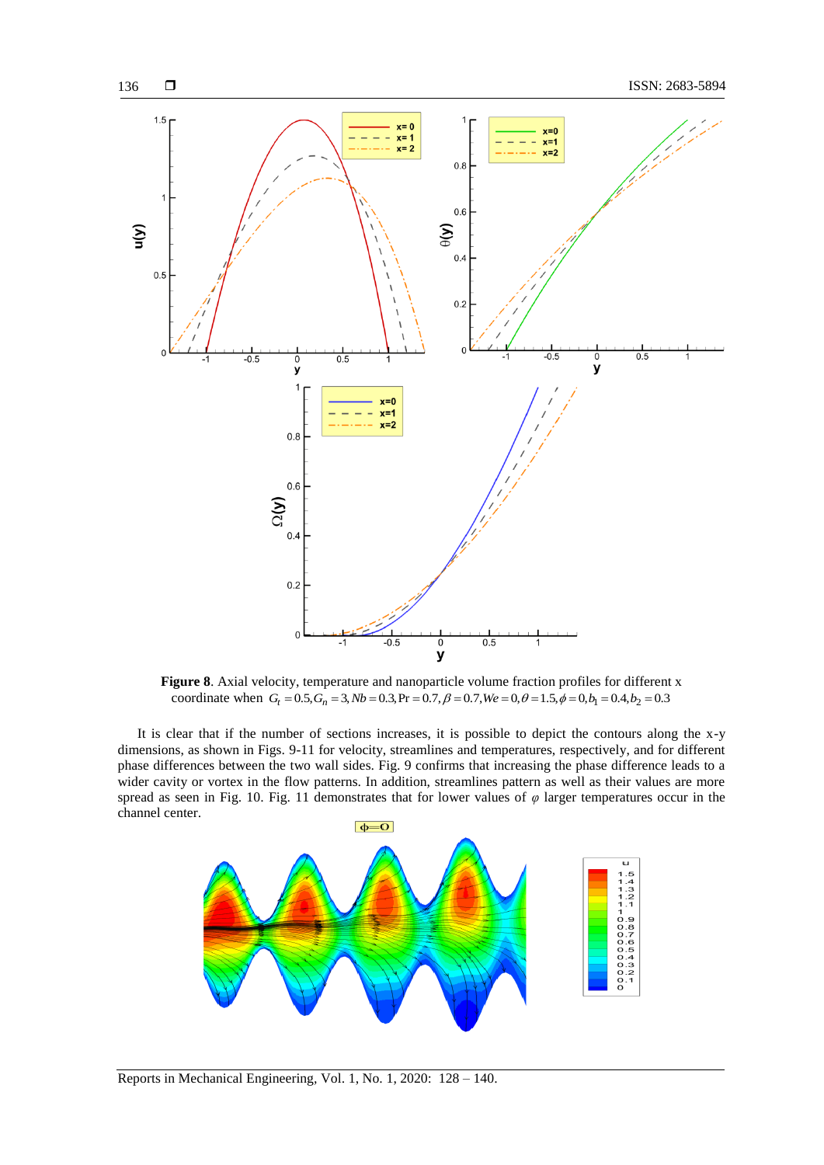

**Figure 8**. Axial velocity, temperature and nanoparticle volume fraction profiles for different x coordinate when  $G_t = 0.5$ ,  $G_n = 3$ ,  $Nb = 0.3$ ,  $Pr = 0.7$ ,  $\beta = 0.7$ ,  $We = 0$ ,  $\theta = 1.5$ ,  $\phi = 0$ ,  $b_1 = 0.4$ ,  $b_2 = 0.3$ 

It is clear that if the number of sections increases, it is possible to depict the contours along the x-y dimensions, as shown in Figs. 9-11 for velocity, streamlines and temperatures, respectively, and for different phase differences between the two wall sides. Fig. 9 confirms that increasing the phase difference leads to a wider cavity or vortex in the flow patterns. In addition, streamlines pattern as well as their values are more spread as seen in Fig. 10. Fig. 11 demonstrates that for lower values of *φ* larger temperatures occur in the channel center.

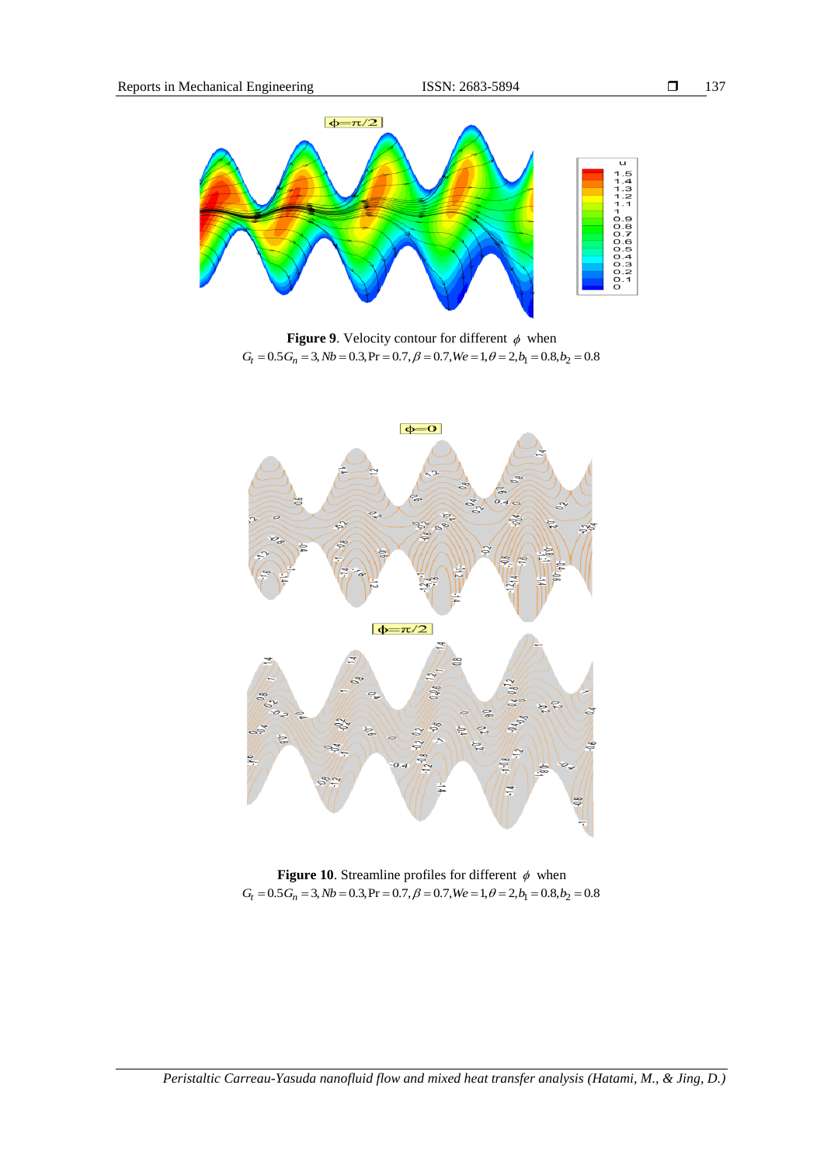

**Figure 9.** Velocity contour for different  $\phi$  when  $G_t = 0.5 G_n = 3, Nb = 0.3, Pr = 0.7, \beta = 0.7, We = 1, \theta = 2, b_1 = 0.8, b_2 = 0.8$ 



**Figure 10.** Streamline profiles for different  $\phi$  when  $G_t = 0.5 G_n = 3, Nb = 0.3, Pr = 0.7, \beta = 0.7, We = 1, \theta = 2, b_1 = 0.8, b_2 = 0.8$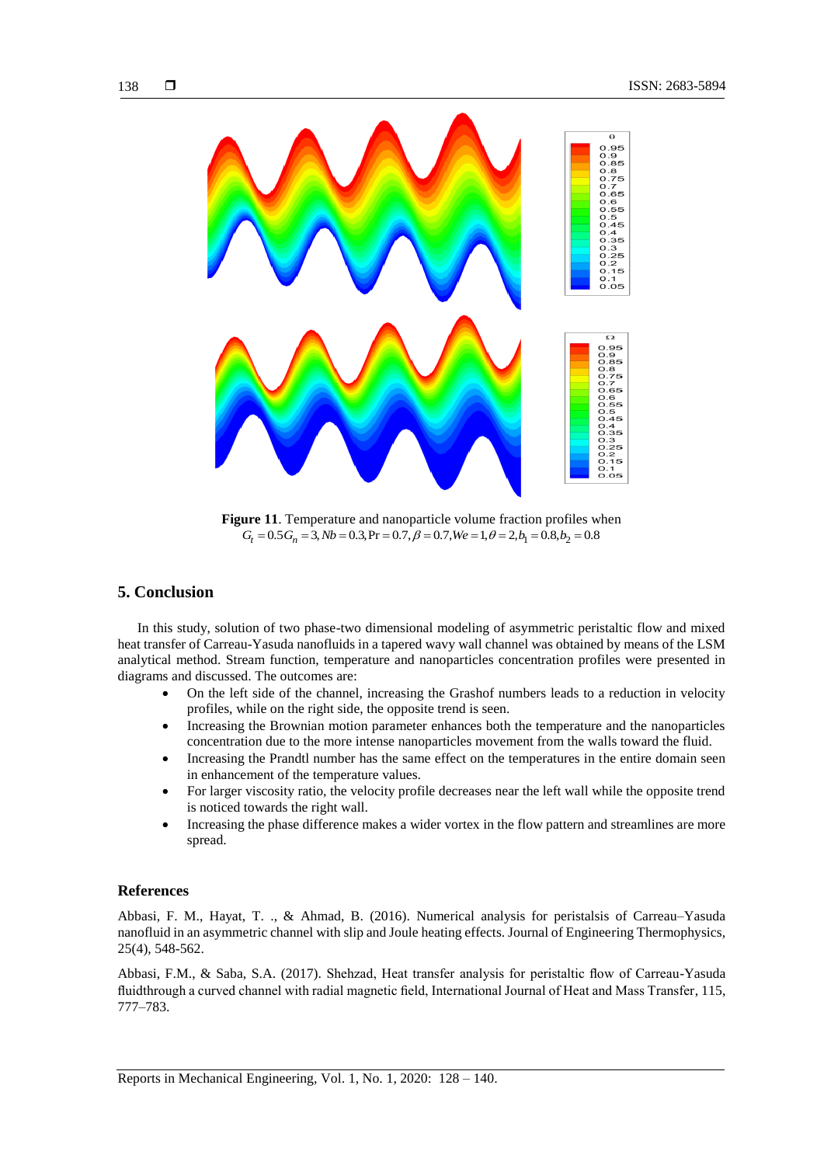

**Figure 11**. Temperature and nanoparticle volume fraction profiles when  $G_t = 0.5 G_n = 3, Nb = 0.3, Pr = 0.7, \beta = 0.7, We = 1, \theta = 2, b_1 = 0.8, b_2 = 0.8$ 

# **5. Conclusion**

In this study, solution of two phase-two dimensional modeling of asymmetric peristaltic flow and mixed heat transfer of Carreau-Yasuda nanofluids in a tapered wavy wall channel was obtained by means of the LSM analytical method. Stream function, temperature and nanoparticles concentration profiles were presented in diagrams and discussed. The outcomes are:

- On the left side of the channel, increasing the Grashof numbers leads to a reduction in velocity profiles, while on the right side, the opposite trend is seen.
- Increasing the Brownian motion parameter enhances both the temperature and the nanoparticles concentration due to the more intense nanoparticles movement from the walls toward the fluid.
- Increasing the Prandtl number has the same effect on the temperatures in the entire domain seen in enhancement of the temperature values.
- For larger viscosity ratio, the velocity profile decreases near the left wall while the opposite trend is noticed towards the right wall.
- Increasing the phase difference makes a wider vortex in the flow pattern and streamlines are more spread.

# **References**

Abbasi, F. M., Hayat, T. ., & Ahmad, B. (2016). Numerical analysis for peristalsis of Carreau–Yasuda nanofluid in an asymmetric channel with slip and Joule heating effects. Journal of Engineering Thermophysics, 25(4), 548-562.

Abbasi, F.M., & Saba, S.A. (2017). Shehzad, Heat transfer analysis for peristaltic flow of Carreau-Yasuda fluidthrough a curved channel with radial magnetic field, International Journal of Heat and Mass Transfer, 115, 777–783.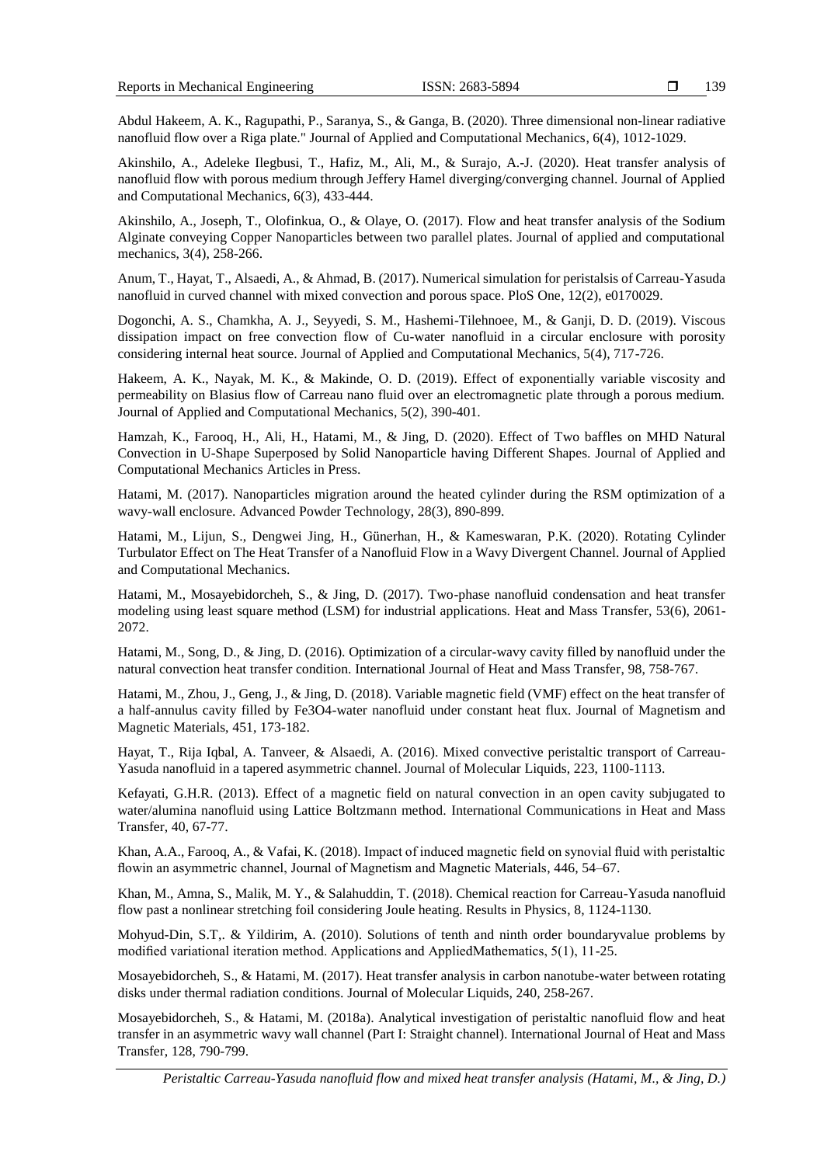Abdul Hakeem, A. K., Ragupathi, P., Saranya, S., & Ganga, B. (2020). Three dimensional non-linear radiative nanofluid flow over a Riga plate." Journal of Applied and Computational Mechanics, 6(4), 1012-1029.

Akinshilo, A., Adeleke Ilegbusi, T., Hafiz, M., Ali, M., & Surajo, A.-J. (2020). Heat transfer analysis of nanofluid flow with porous medium through Jeffery Hamel diverging/converging channel. Journal of Applied and Computational Mechanics, 6(3), 433-444.

Akinshilo, A., Joseph, T., Olofinkua, O., & Olaye, O. (2017). Flow and heat transfer analysis of the Sodium Alginate conveying Copper Nanoparticles between two parallel plates. Journal of applied and computational mechanics, 3(4), 258-266.

Anum, T., Hayat, T., Alsaedi, A., & Ahmad, B. (2017). Numerical simulation for peristalsis of Carreau-Yasuda nanofluid in curved channel with mixed convection and porous space. PloS One, 12(2), e0170029.

Dogonchi, A. S., Chamkha, A. J., Seyyedi, S. M., Hashemi-Tilehnoee, M., & Ganji, D. D. (2019). Viscous dissipation impact on free convection flow of Cu-water nanofluid in a circular enclosure with porosity considering internal heat source. Journal of Applied and Computational Mechanics, 5(4), 717-726.

Hakeem, A. K., Nayak, M. K., & Makinde, O. D. (2019). Effect of exponentially variable viscosity and permeability on Blasius flow of Carreau nano fluid over an electromagnetic plate through a porous medium. Journal of Applied and Computational Mechanics, 5(2), 390-401.

Hamzah, K., Farooq, H., Ali, H., Hatami, M., & Jing, D. (2020). Effect of Two baffles on MHD Natural Convection in U-Shape Superposed by Solid Nanoparticle having Different Shapes. Journal of Applied and Computational Mechanics Articles in Press.

Hatami, M. (2017). Nanoparticles migration around the heated cylinder during the RSM optimization of a wavy-wall enclosure. Advanced Powder Technology, 28(3), 890-899.

Hatami, M., Lijun, S., Dengwei Jing, H., Günerhan, H., & Kameswaran, P.K. (2020). Rotating Cylinder Turbulator Effect on The Heat Transfer of a Nanofluid Flow in a Wavy Divergent Channel. Journal of Applied and Computational Mechanics.

Hatami, M., Mosayebidorcheh, S., & Jing, D. (2017). Two-phase nanofluid condensation and heat transfer modeling using least square method (LSM) for industrial applications. Heat and Mass Transfer, 53(6), 2061- 2072.

Hatami, M., Song, D., & Jing, D. (2016). Optimization of a circular-wavy cavity filled by nanofluid under the natural convection heat transfer condition. International Journal of Heat and Mass Transfer, 98, 758-767.

Hatami, M., Zhou, J., Geng, J., & Jing, D. (2018). Variable magnetic field (VMF) effect on the heat transfer of a half-annulus cavity filled by Fe3O4-water nanofluid under constant heat flux. Journal of Magnetism and Magnetic Materials, 451, 173-182.

Hayat, T., Rija Iqbal, A. Tanveer, & Alsaedi, A. (2016). Mixed convective peristaltic transport of Carreau-Yasuda nanofluid in a tapered asymmetric channel. Journal of Molecular Liquids, 223, 1100-1113.

Kefayati, G.H.R. (2013). Effect of a magnetic field on natural convection in an open cavity subjugated to water/alumina nanofluid using Lattice Boltzmann method. International Communications in Heat and Mass Transfer, 40, 67-77.

Khan, A.A., Farooq, A., & Vafai, K. (2018). Impact of induced magnetic field on synovial fluid with peristaltic flowin an asymmetric channel, Journal of Magnetism and Magnetic Materials, 446, 54–67.

Khan, M., Amna, S., Malik, M. Y., & Salahuddin, T. (2018). Chemical reaction for Carreau-Yasuda nanofluid flow past a nonlinear stretching foil considering Joule heating. Results in Physics, 8, 1124-1130.

Mohyud-Din, S.T,. & Yildirim, A. (2010). Solutions of tenth and ninth order boundaryvalue problems by modified variational iteration method. Applications and AppliedMathematics, 5(1), 11-25.

Mosayebidorcheh, S., & Hatami, M. (2017). Heat transfer analysis in carbon nanotube-water between rotating disks under thermal radiation conditions. Journal of Molecular Liquids, 240, 258-267.

Mosayebidorcheh, S., & Hatami, M. (2018a). Analytical investigation of peristaltic nanofluid flow and heat transfer in an asymmetric wavy wall channel (Part I: Straight channel). International Journal of Heat and Mass Transfer, 128, 790-799.